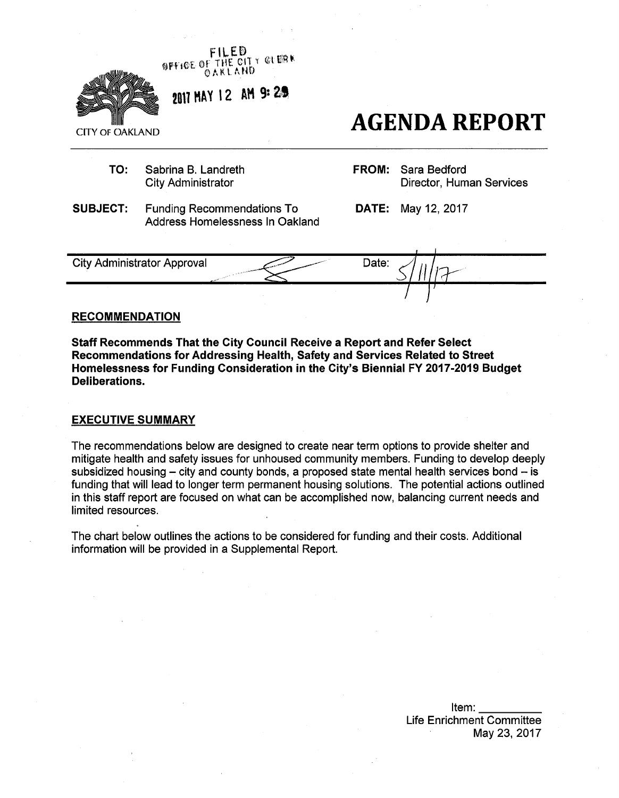

#### **RECOMMENDATION**

**Staff Recommends That the City Council Receive a Report and Refer Select Recommendations for Addressing Health, Safety and Services Related to Street Homelessness for Funding Consideration in the City's Biennial FY 2017-2019 Budget Deliberations.** 

### **EXECUTIVE SUMMARY**

The recommendations below are designed to create near term options to provide shelter and mitigate health and safety issues for unhoused community members. Funding to develop deeply subsidized housing  $-$  city and county bonds, a proposed state mental health services bond  $-$  is funding that will lead to longer term permanent housing solutions. The potential actions outlined in this staff report are focused on what can be accomplished now, balancing current needs and limited resources.

The chart below outlines the actions to be considered for funding and their costs. Additional information will be provided in a Supplemental Report.

> Item: Life Enrichment Committee May 23, 2017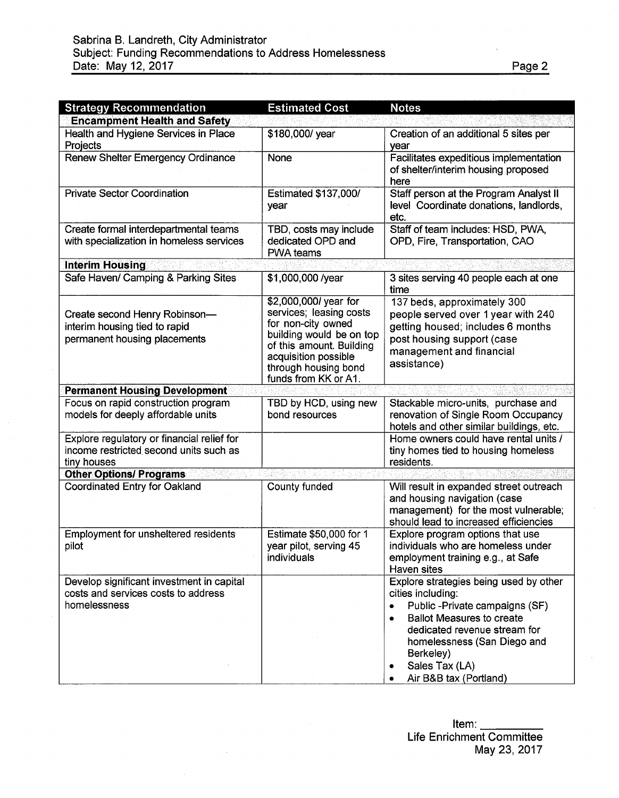| <b>Strategy Recommendation</b>                                                                      | <b>Estimated Cost</b>                                                                                                                                                                                  | <b>Notes</b>                                                                                                                                                                                                                                                        |
|-----------------------------------------------------------------------------------------------------|--------------------------------------------------------------------------------------------------------------------------------------------------------------------------------------------------------|---------------------------------------------------------------------------------------------------------------------------------------------------------------------------------------------------------------------------------------------------------------------|
| <b>Encampment Health and Safety</b>                                                                 |                                                                                                                                                                                                        |                                                                                                                                                                                                                                                                     |
| Health and Hygiene Services in Place<br>Projects                                                    | \$180,000/ year                                                                                                                                                                                        | Creation of an additional 5 sites per<br>year                                                                                                                                                                                                                       |
| Renew Shelter Emergency Ordinance                                                                   | None                                                                                                                                                                                                   | Facilitates expeditious implementation<br>of shelter/interim housing proposed<br>here                                                                                                                                                                               |
| <b>Private Sector Coordination</b>                                                                  | <b>Estimated \$137,000/</b><br>year                                                                                                                                                                    | Staff person at the Program Analyst II<br>level Coordinate donations, landlords,<br>etc.                                                                                                                                                                            |
| Create formal interdepartmental teams<br>with specialization in homeless services                   | TBD, costs may include<br>dedicated OPD and<br><b>PWA teams</b>                                                                                                                                        | Staff of team includes: HSD, PWA,<br>OPD, Fire, Transportation, CAO                                                                                                                                                                                                 |
| <b>Interim Housing</b>                                                                              |                                                                                                                                                                                                        |                                                                                                                                                                                                                                                                     |
| Safe Haven/ Camping & Parking Sites                                                                 | \$1,000,000 /year                                                                                                                                                                                      | 3 sites serving 40 people each at one<br>time                                                                                                                                                                                                                       |
| Create second Henry Robinson-<br>interim housing tied to rapid<br>permanent housing placements      | \$2,000,000/ year for<br>services; leasing costs<br>for non-city owned<br>building would be on top<br>of this amount. Building<br>acquisition possible<br>through housing bond<br>funds from KK or A1. | 137 beds, approximately 300<br>people served over 1 year with 240<br>getting housed; includes 6 months<br>post housing support (case<br>management and financial<br>assistance)                                                                                     |
| <b>Permanent Housing Development</b>                                                                |                                                                                                                                                                                                        |                                                                                                                                                                                                                                                                     |
| Focus on rapid construction program<br>models for deeply affordable units                           | TBD by HCD, using new<br>bond resources                                                                                                                                                                | Stackable micro-units, purchase and<br>renovation of Single Room Occupancy<br>hotels and other similar buildings, etc.                                                                                                                                              |
| Explore regulatory or financial relief for<br>income restricted second units such as<br>tiny houses |                                                                                                                                                                                                        | Home owners could have rental units /<br>tiny homes tied to housing homeless<br>residents.                                                                                                                                                                          |
| <b>Other Options/ Programs</b>                                                                      |                                                                                                                                                                                                        |                                                                                                                                                                                                                                                                     |
| Coordinated Entry for Oakland                                                                       | County funded                                                                                                                                                                                          | Will result in expanded street outreach<br>and housing navigation (case<br>management) for the most vulnerable;<br>should lead to increased efficiencies                                                                                                            |
| Employment for unsheltered residents<br>pilot                                                       | Estimate \$50,000 for 1<br>year pilot, serving 45<br>individuals                                                                                                                                       | Explore program options that use<br>individuals who are homeless under<br>employment training e.g., at Safe<br>Haven sites                                                                                                                                          |
| Develop significant investment in capital<br>costs and services costs to address<br>homelessness    |                                                                                                                                                                                                        | Explore strategies being used by other<br>cities including:<br>Public -Private campaigns (SF)<br>۰<br><b>Ballot Measures to create</b><br>٠<br>dedicated revenue stream for<br>homelessness (San Diego and<br>Berkeley)<br>Sales Tax (LA)<br>Air B&B tax (Portland) |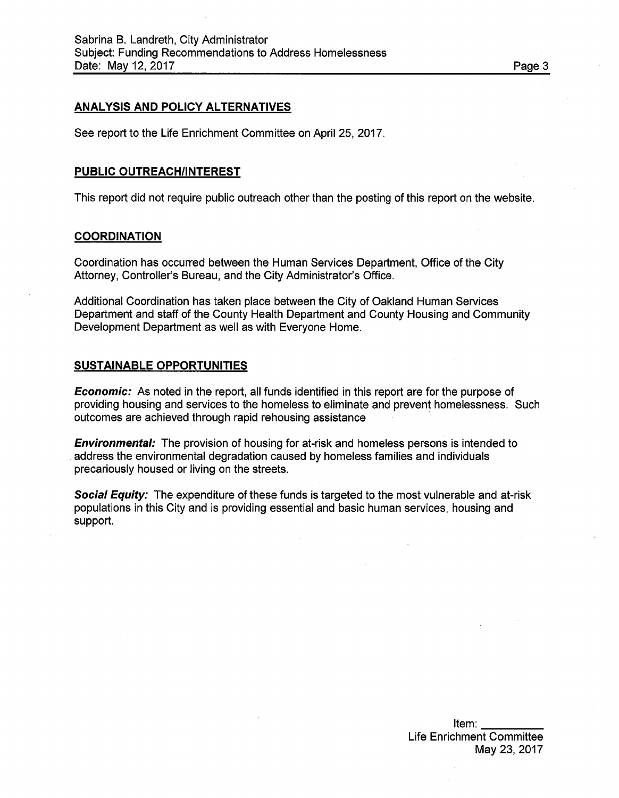## **ANALYSIS AND POLICY ALTERNATIVES**

See report to the Life Enrichment Committee on April 25, 2017.

### **PUBLIC OUTREACH/INTEREST**

This report did not require public outreach other than the posting of this report on the website.

#### **COORDINATION**

Coordination has occurred between the Human Services Department, Office of the City Attorney, Controller's Bureau, and the City Administrator's Office.

Additional Coordination has taken place between the City of Oakland Human Services Department and staff of the County Health Department and County Housing and Community Development Department as well as with Everyone Home.

## **SUSTAINABLE OPPORTUNITIES**

*Economic:* As noted in the report, all funds identified in this report are for the purpose of providing housing and services to the homeless to eliminate and prevent homelessness. Such outcomes are achieved through rapid rehousing assistance

*Environmental:* The provision of housing for at-risk and homeless persons is intended to address the environmental degradation caused by homeless families and individuals precariously housed or living on the streets.

*Social Equity:* The expenditure of these funds is targeted to the most vulnerable and at-risk populations in this City and is providing essential and basic human services, housing and support.

Item: Life Enrichment Committee May 23, 2017